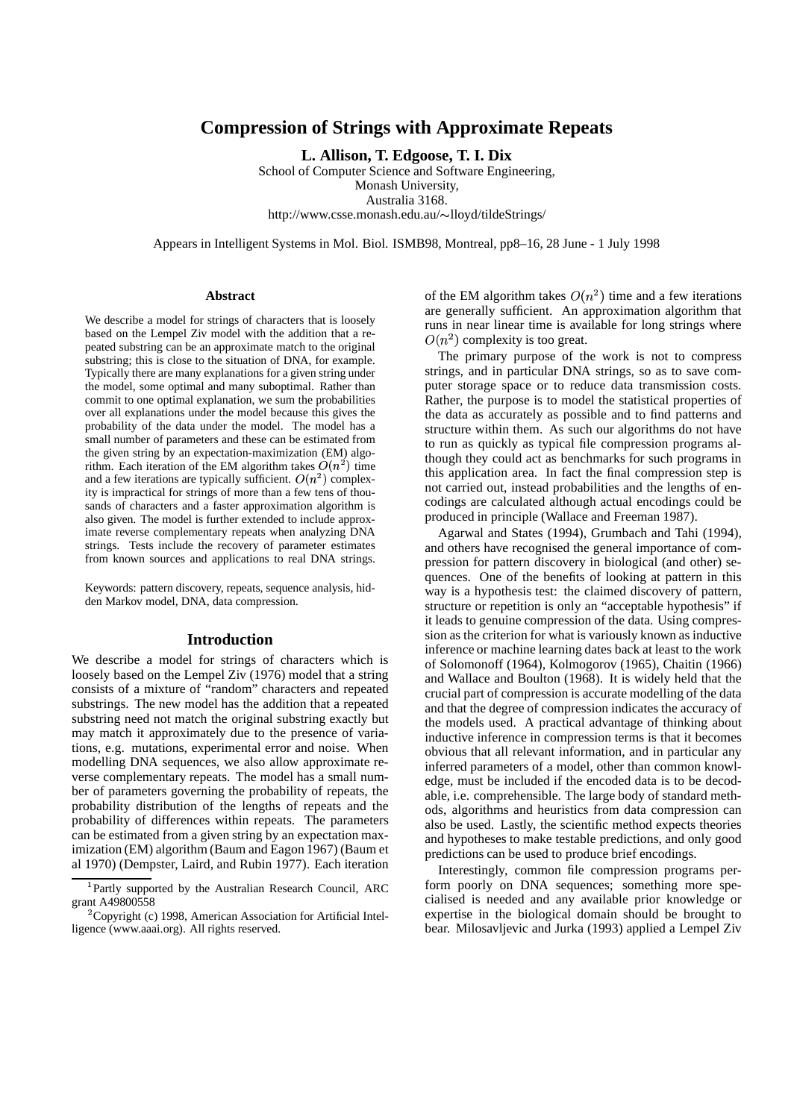# **Compression of Strings with Approximate Repeats**

**L. Allison, T. Edgoose, T. I. Dix**

School of Computer Science and Software Engineering, Monash University, Australia 3168. http://www.csse.monash.edu.au/~lloyd/tildeStrings/

Appears in Intelligent Systems in Mol. Biol. ISMB98, Montreal, pp8–16, 28 June - 1 July 1998

### **Abstract**

We describe a model for strings of characters that is loosely based on the Lempel Ziv model with the addition that a repeated substring can be an approximate match to the original substring; this is close to the situation of DNA, for example. Typically there are many explanations for a given string under the model, some optimal and many suboptimal. Rather than commit to one optimal explanation, we sum the probabilities over all explanations under the model because this gives the probability of the data under the model. The model has a small number of parameters and these can be estimated from the given string by an expectation-maximization (EM) algorithm. Each iteration of the EM algorithm takes  $O(n^2)$  time and a few iterations are typically sufficient.  $O(n^2)$  complexity is impractical for strings of more than a few tens of thousands of characters and a faster approximation algorithm is also given. The model is further extended to include approximate reverse complementary repeats when analyzing DNA strings. Tests include the recovery of parameter estimates from known sources and applications to real DNA strings.

Keywords: pattern discovery, repeats, sequence analysis, hidden Markov model, DNA, data compression.

### **Introduction**

We describe a model for strings of characters which is loosely based on the Lempel Ziv (1976) model that a string consists of a mixture of "random" characters and repeated substrings. The new model has the addition that a repeated substring need not match the original substring exactly but may match it approximately due to the presence of variations, e.g. mutations, experimental error and noise. When modelling DNA sequences, we also allow approximate reverse complementary repeats. The model has a small number of parameters governing the probability of repeats, the probability distribution of the lengths of repeats and the probability of differences within repeats. The parameters can be estimated from a given string by an expectation maximization (EM) algorithm (Baum and Eagon 1967) (Baum et al 1970) (Dempster, Laird, and Rubin 1977). Each iteration of the EM algorithm takes  $O(n^2)$  time and a few iterations are generally sufficient. An approximation algorithm that runs in near linear time is available for long strings where  $O(n^2)$  complexity is too great.

The primary purpose of the work is not to compress strings, and in particular DNA strings, so as to save computer storage space or to reduce data transmission costs. Rather, the purpose is to model the statistical properties of the data as accurately as possible and to find patterns and structure within them. As such our algorithms do not have to run as quickly as typical file compression programs although they could act as benchmarks for such programs in this application area. In fact the final compression step is not carried out, instead probabilities and the lengths of encodings are calculated although actual encodings could be produced in principle (Wallace and Freeman 1987).

Agarwal and States (1994), Grumbach and Tahi (1994), and others have recognised the general importance of compression for pattern discovery in biological (and other) sequences. One of the benefits of looking at pattern in this way is a hypothesis test: the claimed discovery of pattern, structure or repetition is only an "acceptable hypothesis" if it leads to genuine compression of the data. Using compression as the criterion for what is variously known as inductive inference or machine learning dates back at least to the work of Solomonoff (1964), Kolmogorov (1965), Chaitin (1966) and Wallace and Boulton (1968). It is widely held that the crucial part of compression is accurate modelling of the data and that the degree of compression indicates the accuracy of the models used. A practical advantage of thinking about inductive inference in compression terms is that it becomes obvious that all relevant information, and in particular any inferred parameters of a model, other than common knowledge, must be included if the encoded data is to be decodable, i.e. comprehensible. The large body of standard methods, algorithms and heuristics from data compression can also be used. Lastly, the scientific method expects theories and hypotheses to make testable predictions, and only good predictions can be used to produce brief encodings.

Interestingly, common file compression programs perform poorly on DNA sequences; something more specialised is needed and any available prior knowledge or expertise in the biological domain should be brought to bear. Milosavljevic and Jurka (1993) applied a Lempel Ziv

<sup>&</sup>lt;sup>1</sup>Partly supported by the Australian Research Council, ARC grant A49800558

<sup>&</sup>lt;sup>2</sup> Copyright (c) 1998, American Association for Artificial Intelligence (www.aaai.org). All rights reserved.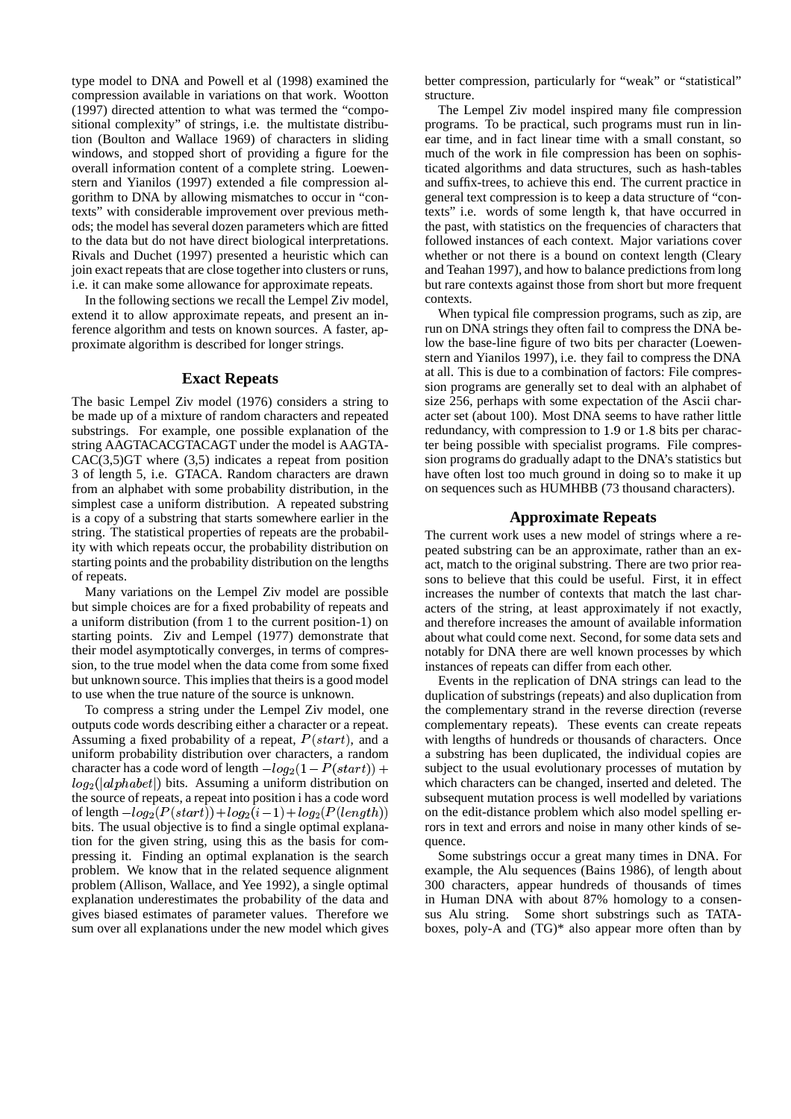type model to DNA and Powell et al (1998) examined the compression available in variations on that work. Wootton (1997) directed attention to what was termed the "compositional complexity" of strings, i.e. the multistate distribution (Boulton and Wallace 1969) of characters in sliding windows, and stopped short of providing a figure for the overall information content of a complete string. Loewenstern and Yianilos (1997) extended a file compression algorithm to DNA by allowing mismatches to occur in "contexts" with considerable improvement over previous methods; the model has several dozen parameters which are fitted to the data but do not have direct biological interpretations. Rivals and Duchet (1997) presented a heuristic which can join exact repeats that are close together into clusters or runs, i.e. it can make some allowance for approximate repeats.

In the following sections we recall the Lempel Ziv model, extend it to allow approximate repeats, and present an inference algorithm and tests on known sources. A faster, approximate algorithm is described for longer strings.

# **Exact Repeats**

The basic Lempel Ziv model (1976) considers a string to be made up of a mixture of random characters and repeated substrings. For example, one possible explanation of the string AAGTACACGTACAGT under the model is AAGTA- $CAC(3,5)GT$  where  $(3,5)$  indicates a repeat from position 3 of length 5, i.e. GTACA. Random characters are drawn from an alphabet with some probability distribution, in the simplest case a uniform distribution. A repeated substring is a copy of a substring that starts somewhere earlier in the string. The statistical properties of repeats are the probability with which repeats occur, the probability distribution on starting points and the probability distribution on the lengths of repeats.

Many variations on the Lempel Ziv model are possible but simple choices are for a fixed probability of repeats and a uniform distribution (from 1 to the current position-1) on starting points. Ziv and Lempel (1977) demonstrate that their model asymptotically converges, in terms of compression, to the true model when the data come from some fixed but unknown source. This implies that theirs is a good model to use when the true nature of the source is unknown.

To compress a string under the Lempel Ziv model, one outputs code words describing either a character or a repeat. Assuming a fixed probability of a repeat,  $P(start)$ , and a uniform probability distribution over characters, a random character has a code word of length  $-log_2(1 - P(start))$  + subject  $\frac{d}{dt}[alpha bet]$  bits. Assuming a uniform distribution on the source of repeats, a repeat into position i has a code word of length  $-log_2(P(start)) + log_2(i-1) + log_2(P(length))$ bits. The usual objective is to find a single optimal explanation for the given string, using this as the basis for compressing it. Finding an optimal explanation is the search problem. We know that in the related sequence alignment problem (Allison, Wallace, and Yee 1992), a single optimal explanation underestimates the probability of the data and gives biased estimates of parameter values. Therefore we sum over all explanations under the new model which gives

better compression, particularly for "weak" or "statistical" structure.

The Lempel Ziv model inspired many file compression programs. To be practical, such programs must run in linear time, and in fact linear time with a small constant, so much of the work in file compression has been on sophisticated algorithms and data structures, such as hash-tables and suffix-trees, to achieve this end. The current practice in general text compression is to keep a data structure of "contexts" i.e. words of some length k, that have occurred in the past, with statistics on the frequencies of characters that followed instances of each context. Major variations cover whether or not there is a bound on context length (Cleary and Teahan 1997), and how to balance predictions from long but rare contexts against those from short but more frequent contexts.

When typical file compression programs, such as zip, are run on DNA strings they often fail to compress the DNA below the base-line figure of two bits per character (Loewenstern and Yianilos 1997), i.e. they fail to compress the DNA at all. This is due to a combination of factors: File compression programs are generally set to deal with an alphabet of size 256, perhaps with some expectation of the Ascii character set (about 100). Most DNA seems to have rather little redundancy, with compression to  $1.9$  or  $1.8$  bits per character being possible with specialist programs. File compression programs do gradually adapt to the DNA's statistics but have often lost too much ground in doing so to make it up on sequences such as HUMHBB (73 thousand characters).

### **Approximate Repeats**

The current work uses a new model of strings where a repeated substring can be an approximate, rather than an exact, match to the original substring. There are two prior reasons to believe that this could be useful. First, it in effect increases the number of contexts that match the last characters of the string, at least approximately if not exactly, and therefore increases the amount of available information about what could come next. Second, for some data sets and notably for DNA there are well known processes by which instances of repeats can differ from each other.

Events in the replication of DNA strings can lead to the duplication of substrings (repeats) and also duplication from the complementary strand in the reverse direction (reverse complementary repeats). These events can create repeats with lengths of hundreds or thousands of characters. Once a substring has been duplicated, the individual copies are subject to the usual evolutionary processes of mutation by which characters can be changed, inserted and deleted. The subsequent mutation process is well modelled by variations on the edit-distance problem which also model spelling errors in text and errors and noise in many other kinds of sequence.

Some substrings occur a great many times in DNA. For example, the Alu sequences (Bains 1986), of length about 300 characters, appear hundreds of thousands of times in Human DNA with about 87% homology to a consensus Alu string. Some short substrings such as TATAboxes, poly- $\overline{A}$  and  $(TG)^*$  also appear more often than by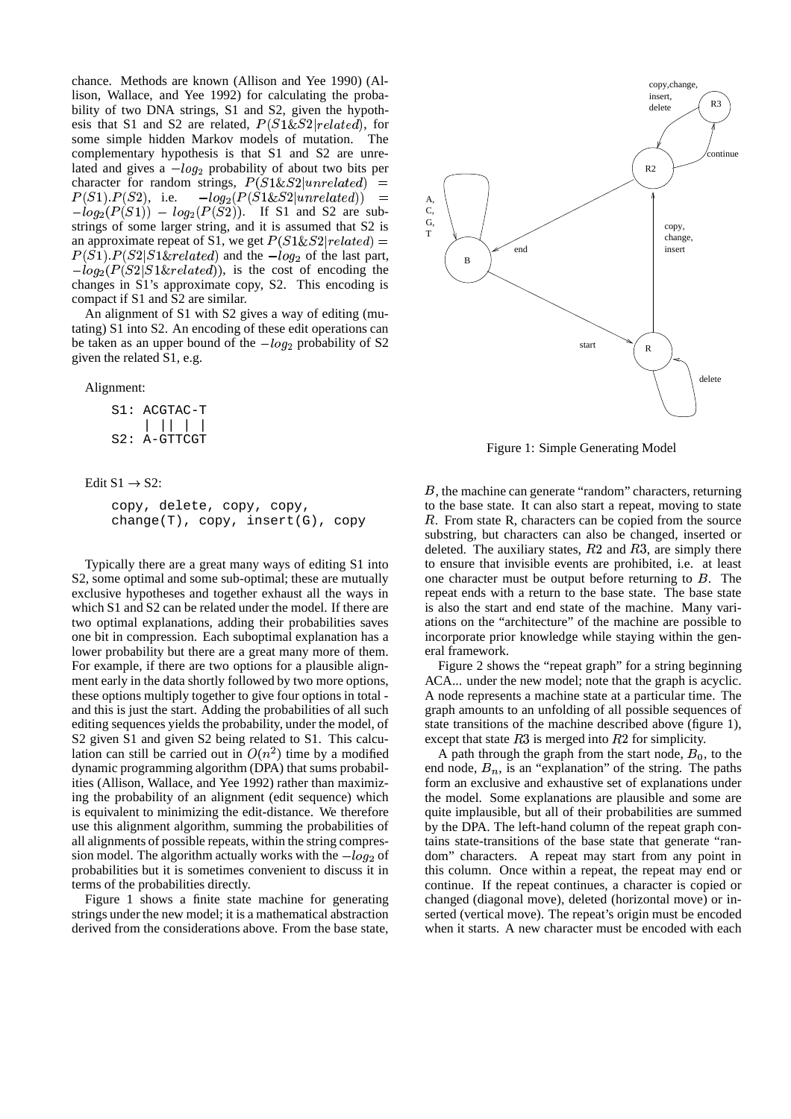chance. Methods are known (Allison and Yee 1990) (Allison, Wallace, and Yee 1992) for calculating the probability of two DNA strings, S1 and S2, given the hypothesis that S1 and S2 are related,  $P(S1\&S2|related)$ , for some simple hidden Markov models of mutation. The complementary hypothesis is that S1 and S2 are unrelated and gives a  $-log_2$  probability of about two bits per character for random strings,  $P(S1\&S2|unrelated)$  $P(S1) \cdot P(S2)$ , i.e.  $-log_2(P(S1 \& S2|unrelated)) =$  A.  $-log_2(P(S1)) - log_2(P(S2))$ . If S1 and S2 are substrings of some larger string, and it is assumed that S2 is an approximate repeat of S1, we get  $P(S1\&S2|related) =$   $\qquad \qquad \rightarrow$  $P(S1)$ ,  $P(S2|S1\&related)$  and the  $-log_2$  of the last part,  $-log_2(P(S2|S1\&related))$ , is the cost of encoding the changes in S1's approximate copy, S2. This encoding is compact if S1 and S2 are similar.

An alignment of S1 with S2 gives a way of editing (mutating) S1 into S2. An encoding of these edit operations can be taken as an upper bound of the  $-log_2$  probability of S2 given the related S1, e.g.

Alignment:

| S1: ACGTAC-T   |  |  |  |
|----------------|--|--|--|
|                |  |  |  |
| $S2: A-GTTCGT$ |  |  |  |

Edit  $S1 \rightarrow S2$ :

```
copy, delete, copy, copy,
change(T), copy, insert(G), copy
```
Typically there are a great many ways of editing S1 into S2, some optimal and some sub-optimal; these are mutually exclusive hypotheses and together exhaust all the ways in which S1 and S2 can be related under the model. If there are two optimal explanations, adding their probabilities saves one bit in compression. Each suboptimal explanation has a lower probability but there are a great many more of them. For example, if there are two options for a plausible alignment early in the data shortly followed by two more options, these options multiply together to give four options in total and this is just the start. Adding the probabilities of all such editing sequences yields the probability, under the model, of S2 given S1 and given S2 being related to S1. This calculation can still be carried out in  $O(n^2)$  time by a modified dynamic programming algorithm (DPA) that sums probabilities (Allison, Wallace, and Yee 1992) rather than maximizing the probability of an alignment (edit sequence) which is equivalent to minimizing the edit-distance. We therefore use this alignment algorithm, summing the probabilities of all alignments of possible repeats, within the string compression model. The algorithm actually works with the  $-log<sub>2</sub>$  of 
 probabilities but it is sometimes convenient to discuss it in terms of the probabilities directly.

Figure 1 shows a finite state machine for generating strings under the new model; it is a mathematical abstraction derived from the considerations above. From the base state,



Figure 1: Simple Generating Model

 , the machine can generate "random" characters, returning to the base state. It can also start a repeat, moving to state R. From state R, characters can be copied from the source substring, but characters can also be changed, inserted or deleted. The auxiliary states,  $R2$  and  $R3$ , are simply there to ensure that invisible events are prohibited, i.e. at least one character must be output before returning to  $B$ . The repeat ends with a return to the base state. The base state is also the start and end state of the machine. Many variations on the "architecture" of the machine are possible to incorporate prior knowledge while staying within the general framework.

Figure 2 shows the "repeat graph" for a string beginning ACA... under the new model; note that the graph is acyclic. A node represents a machine state at a particular time. The graph amounts to an unfolding of all possible sequences of state transitions of the machine described above (figure 1), except that state  $R3$  is merged into  $R2$  for simplicity.

A path through the graph from the start node,  $B_0$ , to the end node,  $B_n$ , is an "explanation" of the string. The paths form an exclusive and exhaustive set of explanations under the model. Some explanations are plausible and some are quite implausible, but all of their probabilities are summed by the DPA. The left-hand column of the repeat graph contains state-transitions of the base state that generate "random" characters. A repeat may start from any point in this column. Once within a repeat, the repeat may end or continue. If the repeat continues, a character is copied or changed (diagonal move), deleted (horizontal move) or inserted (vertical move). The repeat's origin must be encoded when it starts. A new character must be encoded with each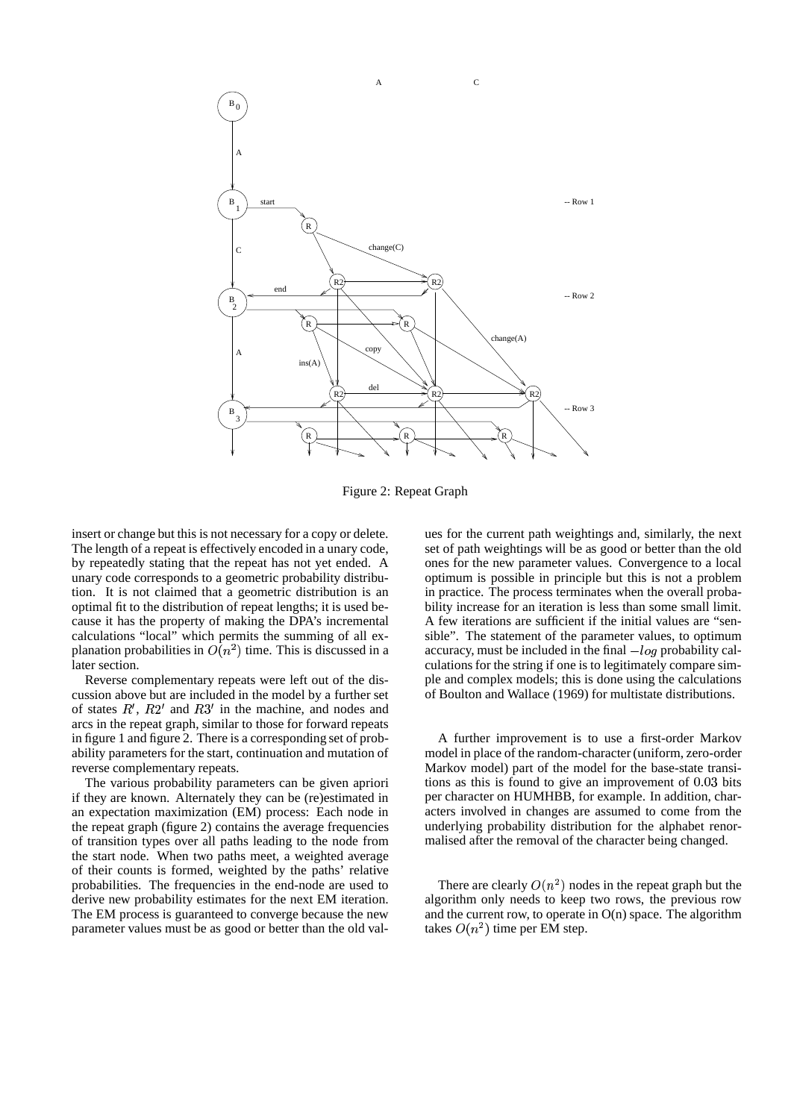

Figure 2: Repeat Graph

insert or change but this is not necessary for a copy or delete. The length of a repeat is effectively encoded in a unary code, by repeatedly stating that the repeat has not yet ended. A unary code corresponds to a geometric probability distribution. It is not claimed that a geometric distribution is an optimal fit to the distribution of repeat lengths; it is used because it has the property of making the DPA's incremental calculations "local" which permits the summing of all explanation probabilities in  $\overline{O(n^2)}$  time. This is discussed in a later section.

Reverse complementary repeats were left out of the discussion above but are included in the model by a further set of states  $R'$ ,  $R2'$  and  $R3'$  in the machine, and nodes and arcs in the repeat graph, similar to those for forward repeats in figure 1 and figure 2. There is a corresponding set of probability parameters for the start, continuation and mutation of reverse complementary repeats.

The various probability parameters can be given apriori if they are known. Alternately they can be (re)estimated in an expectation maximization (EM) process: Each node in the repeat graph (figure 2) contains the average frequencies of transition types over all paths leading to the node from the start node. When two paths meet, a weighted average of their counts is formed, weighted by the paths' relative probabilities. The frequencies in the end-node are used to derive new probability estimates for the next EM iteration. The EM process is guaranteed to converge because the new parameter values must be as good or better than the old values for the current path weightings and, similarly, the next set of path weightings will be as good or better than the old ones for the new parameter values. Convergence to a local optimum is possible in principle but this is not a problem in practice. The process terminates when the overall probability increase for an iteration is less than some small limit. A few iterations are sufficient if the initial values are "sensible". The statement of the parameter values, to optimum accuracy, must be included in the final  $-log$  probability calculations for the string if one is to legitimately compare simple and complex models; this is done using the calculations of Boulton and Wallace (1969) for multistate distributions.

A further improvement is to use a first-order Markov model in place of the random-character (uniform, zero-order Markov model) part of the model for the base-state transitions as this is found to give an improvement of 0.03 bits per character on HUMHBB, for example. In addition, characters involved in changes are assumed to come from the underlying probability distribution for the alphabet renormalised after the removal of the character being changed.

There are clearly  $O(n^2)$  nodes in the repeat graph but the algorithm only needs to keep two rows, the previous row and the current row, to operate in  $O(n)$  space. The algorithm takes  $O(n^2)$  time per EM step.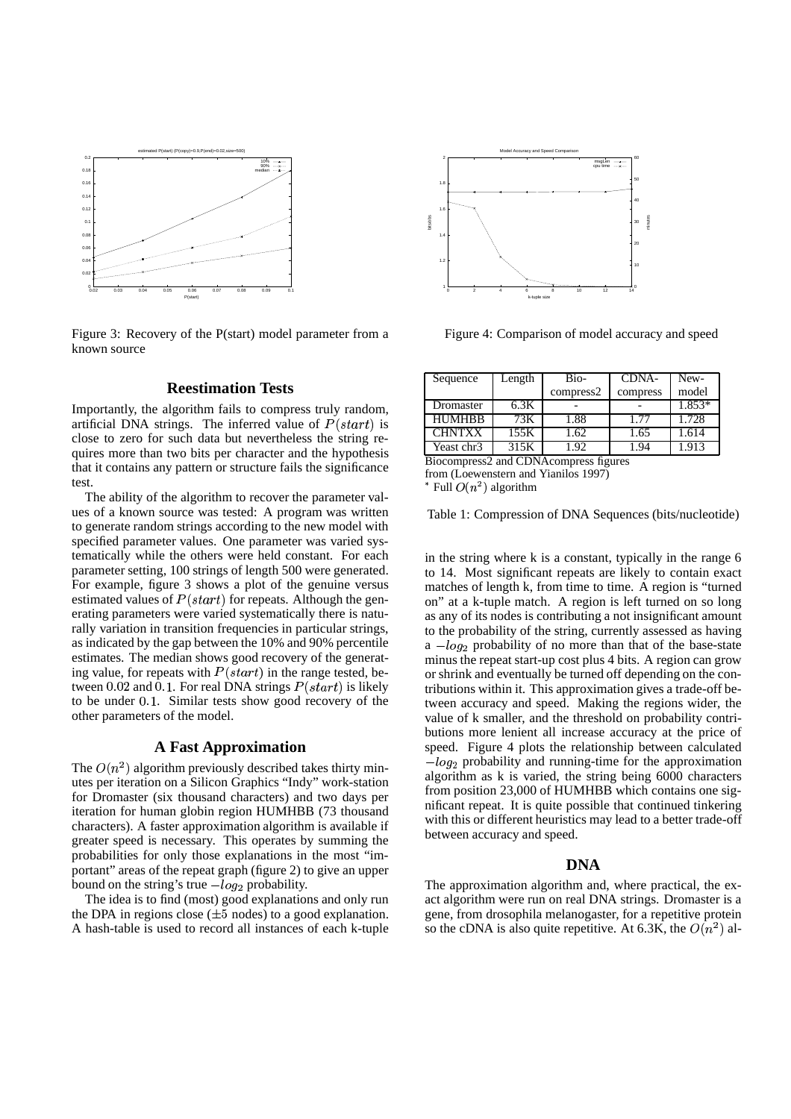

Figure 3: Recovery of the P(start) model parameter from a known source

# **Reestimation Tests**

Importantly, the algorithm fails to compress truly random, artificial DNA strings. The inferred value of  $P(start)$  is close to zero for such data but nevertheless the string requires more than two bits per character and the hypothesis that it contains any pattern or structure fails the significance test.

The ability of the algorithm to recover the parameter values of a known source was tested: A program was written to generate random strings according to the new model with specified parameter values. One parameter was varied systematically while the others were held constant. For each parameter setting, 100 strings of length 500 were generated. For example, figure 3 shows a plot of the genuine versus estimated values of  $P(start)$  for repeats. Although the generating parameters were varied systematically there is naturally variation in transition frequencies in particular strings, as indicated by the gap between the 10% and 90% percentile estimates. The median shows good recovery of the generating value, for repeats with  $P(start)$  in the range tested, between 0.02 and 0.1. For real DNA strings  $P(start)$  is likely to be under 0.1. Similar tests show good recovery of the other parameters of the model.

# **A Fast Approximation**

The  $O(n^2)$  algorithm previously described takes thirty minutes per iteration on a Silicon Graphics "Indy" work-station for Dromaster (six thousand characters) and two days per iteration for human globin region HUMHBB (73 thousand characters). A faster approximation algorithm is available if greater speed is necessary. This operates by summing the probabilities for only those explanations in the most "important" areas of the repeat graph (figure 2) to give an upper bound on the string's true  $-log_2$  probability.

The idea is to find (most) good explanations and only run the DPA in regions close  $(\pm 5 \text{ nodes})$  to a good explanation. A hash-table is used to record all instances of each k-tuple



Figure 4: Comparison of model accuracy and speed

| Sequence      | Length | Bio-      | CDNA-    | New-   |
|---------------|--------|-----------|----------|--------|
|               |        | compress2 | compress | model  |
| Dromaster     | 6.3K   |           |          | 1.853* |
| <b>HUMHBB</b> | 73K.   | 1.88      | 1.77     | 1.728  |
| <b>CHNTXX</b> | 155K   | .62       | 1.65     | 1.614  |
| Yeast chr3    | 315K   | .92       | l.94     | 1.913  |

Biocompress2 and CDNAcompress figures

from (Loewenstern and Yianilos 1997)

\* Full  $O(n^2)$  algorithm

Table 1: Compression of DNA Sequences (bits/nucleotide)

in the string where k is a constant, typically in the range 6 to 14. Most significant repeats are likely to contain exact matches of length k, from time to time. A region is "turned on" at a k-tuple match. A region is left turned on so long as any of its nodes is contributing a not insignificant amount to the probability of the string, currently assessed as having  $a - log_2$  probability of no more than that of the base-state minus the repeat start-up cost plus 4 bits. A region can grow or shrink and eventually be turned off depending on the contributions within it. This approximation gives a trade-off between accuracy and speed. Making the regions wider, the value of k smaller, and the threshold on probability contributions more lenient all increase accuracy at the price of speed. Figure 4 plots the relationship between calculated  $-log_2$  probability and running-time for the approximation 
 algorithm as k is varied, the string being 6000 characters from position 23,000 of HUMHBB which contains one significant repeat. It is quite possible that continued tinkering with this or different heuristics may lead to a better trade-off between accuracy and speed.

### **DNA**

The approximation algorithm and, where practical, the exact algorithm were run on real DNA strings. Dromaster is a gene, from drosophila melanogaster, for a repetitive protein so the cDNA is also quite repetitive. At 6.3K, the  $O(n^2)$  al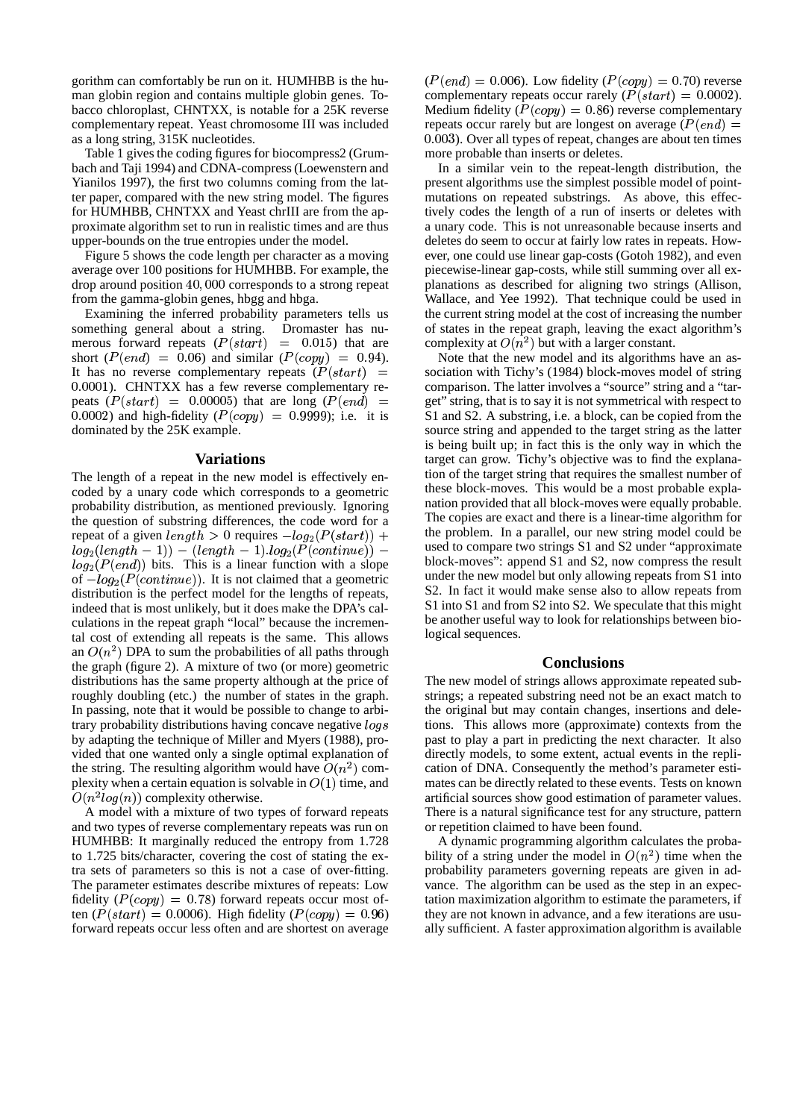gorithm can comfortably be run on it. HUMHBB is the human globin region and contains multiple globin genes. Tobacco chloroplast, CHNTXX, is notable for a 25K reverse complementary repeat. Yeast chromosome III was included as a long string, 315K nucleotides.

Table 1 gives the coding figures for biocompress2 (Grumbach and Taji 1994) and CDNA-compress (Loewenstern and Yianilos 1997), the first two columns coming from the latter paper, compared with the new string model. The figures for HUMHBB, CHNTXX and Yeast chrIII are from the approximate algorithm set to run in realistic times and are thus upper-bounds on the true entropies under the model.

Figure 5 shows the code length per character as a moving average over 100 positions for HUMHBB. For example, the drop around position 40,000 corresponds to a strong repeat from the gamma-globin genes, hbgg and hbga.

Examining the inferred probability parameters tells us something general about a string. Dromaster has numerous forward repeats  $(P(start) = 0.015)$  that are short  $(P(\text{end}) = 0.06)$  and similar  $(P(\text{copy}) = 0.94)$ . It has no reverse complementary repeats  $(P(start)$  = sociatio 0.0001). CHNTXX has a few reverse complementary repeats  $(P(start) = 0.00005)$  that are long  $(P(end) =$  get" stri 0.0002) and high-fidelity  $(P(copy) = 0.9999)$ ; i.e. it is dominated by the 25K example.

### **Variations**

The length of a repeat in the new model is effectively encoded by a unary code which corresponds to a geometric probability distribution, as mentioned previously. Ignoring the question of substring differences, the code word for a repeat of a given  $length > 0$  requires  $-log_2(P(start))$  + the prob- $\frac{d}{d}$  (length - 1) – (length - 1).log<sub>2</sub>( $P$ (continue)) –  $log_2(Peend)$ ) bits. This is a linear function with a slope  $\frac{\log_2(1 - \cos_2 t)}{\log_2(P(\text{continue}))}$ . It is not claimed that a geometric  $\frac{d}{dx}$  distribution is the perfect model for the lengths of repeats, indeed that is most unlikely, but it does make the DPA's calculations in the repeat graph "local" because the incremental cost of extending all repeats is the same. This allows an  $O(n^2)$  DPA to sum the probabilities of all paths through the graph (figure 2). A mixture of two (or more) geometric distributions has the same property although at the price of roughly doubling (etc.) the number of states in the graph. In passing, note that it would be possible to change to arbitrary probability distributions having concave negative  $logs$ by adapting the technique of Miller and Myers (1988), provided that one wanted only a single optimal explanation of the string. The resulting algorithm would have  $\overline{O}(n^2)$  complexity when a certain equation is solvable in  $O(1)$  time, and  $O(n^2 \log(n))$  complexity otherwise.

A model with a mixture of two types of forward repeats and two types of reverse complementary repeats was run on HUMHBB: It marginally reduced the entropy from 1.728 to 1.725 bits/character, covering the cost of stating the extra sets of parameters so this is not a case of over-fitting. The parameter estimates describe mixtures of repeats: Low fidelity  $(P(copy) = 0.78)$  forward repeats occur most often  $(P(statt) = 0.0006)$ . High fidelity  $(P(copy) = 0.96)$  th forward repeats occur less often and are shortest on average

 $(P(end) = 0.006)$ . Low fidelity  $(P(copy) = 0.70)$  reverse complementary repeats occur rarely  $(P(start) = 0.0002)$ . Medium fidelity ( $P(copy) = 0.86$ ) reverse complementary repeats occur rarely but are longest on average  $(P(\text{end}) =$  ) ). Over all types of repeat, changes are about ten times more probable than inserts or deletes.

In a similar vein to the repeat-length distribution, the present algorithms use the simplest possible model of pointmutations on repeated substrings. As above, this effectively codes the length of a run of inserts or deletes with a unary code. This is not unreasonable because inserts and deletes do seem to occur at fairly low rates in repeats. However, one could use linear gap-costs (Gotoh 1982), and even piecewise-linear gap-costs, while still summing over all explanations as described for aligning two strings (Allison, Wallace, and Yee 1992). That technique could be used in the current string model at the cost of increasing the number of states in the repeat graph, leaving the exact algorithm's complexity at  $O(n^2)$  but with a larger constant.

 block-moves": append S1 and S2, now compress the result Note that the new model and its algorithms have an association with Tichy's (1984) block-moves model of string comparison. The latter involves a "source" string and a "target" string, that is to say it is not symmetrical with respect to S1 and S2. A substring, i.e. a block, can be copied from the source string and appended to the target string as the latter is being built up; in fact this is the only way in which the target can grow. Tichy's objective was to find the explanation of the target string that requires the smallest number of these block-moves. This would be a most probable explanation provided that all block-moves were equally probable. The copies are exact and there is a linear-time algorithm for the problem. In a parallel, our new string model could be used to compare two strings S1 and S2 under "approximate under the new model but only allowing repeats from S1 into S2. In fact it would make sense also to allow repeats from S1 into S1 and from S2 into S2. We speculate that this might be another useful way to look for relationships between biological sequences.

### **Conclusions**

The new model of strings allows approximate repeated substrings; a repeated substring need not be an exact match to the original but may contain changes, insertions and deletions. This allows more (approximate) contexts from the past to play a part in predicting the next character. It also directly models, to some extent, actual events in the replication of DNA. Consequently the method's parameter estimates can be directly related to these events. Tests on known artificial sources show good estimation of parameter values. There is a natural significance test for any structure, pattern or repetition claimed to have been found.

A dynamic programming algorithm calculates the probability of a string under the model in  $O(n^2)$  time when the probability parameters governing repeats are given in advance. The algorithm can be used as the step in an expectation maximization algorithm to estimate the parameters, if they are not known in advance, and a few iterations are usually sufficient. A faster approximation algorithm is available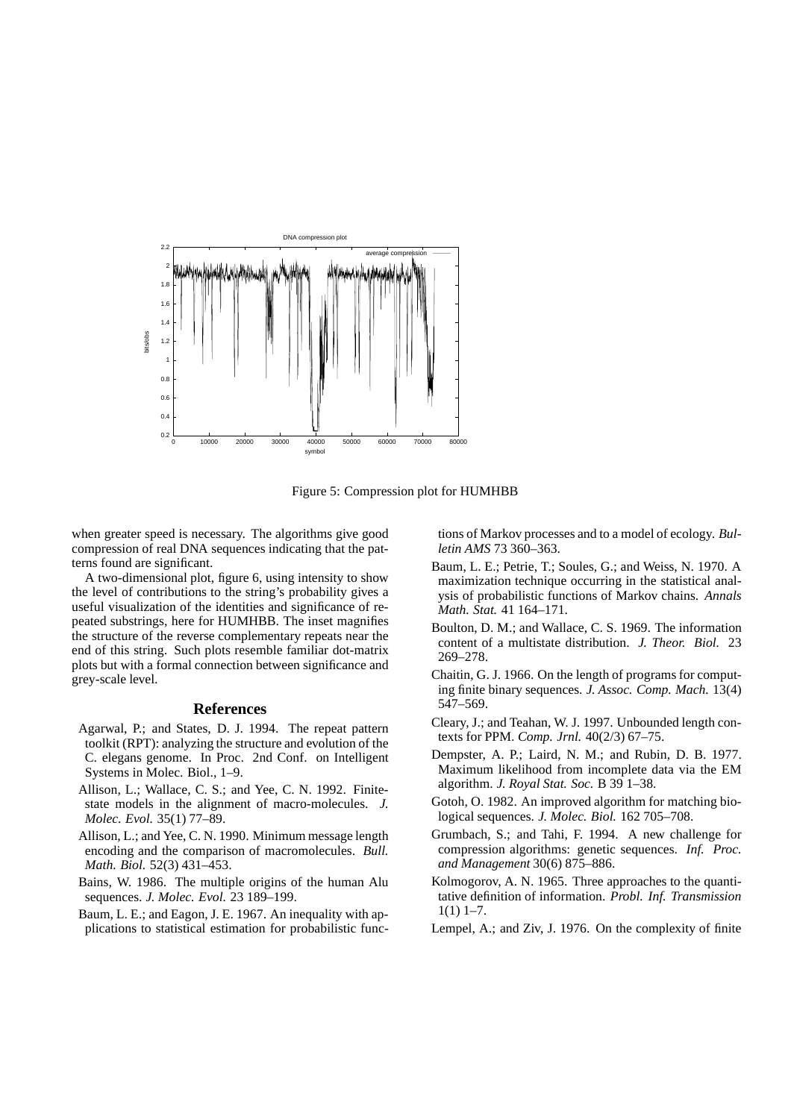

Figure 5: Compression plot for HUMHBB

when greater speed is necessary. The algorithms give good compression of real DNA sequences indicating that the patterns found are significant.

A two-dimensional plot, figure 6, using intensity to show the level of contributions to the string's probability gives a useful visualization of the identities and significance of repeated substrings, here for HUMHBB. The inset magnifies the structure of the reverse complementary repeats near the end of this string. Such plots resemble familiar dot-matrix plots but with a formal connection between significance and grey-scale level.

### **References**

- Agarwal, P.; and States, D. J. 1994. The repeat pattern toolkit (RPT): analyzing the structure and evolution of the C. elegans genome. In Proc. 2nd Conf. on Intelligent Systems in Molec. Biol., 1–9.
- Allison, L.; Wallace, C. S.; and Yee, C. N. 1992. Finitestate models in the alignment of macro-molecules. *J. Molec. Evol.* 35(1) 77–89.
- Allison, L.; and Yee, C. N. 1990. Minimum message length encoding and the comparison of macromolecules. *Bull. Math. Biol.* 52(3) 431–453.
- Bains, W. 1986. The multiple origins of the human Alu sequences. *J. Molec. Evol.* 23 189–199.
- Baum, L. E.; and Eagon, J. E. 1967. An inequality with applications to statistical estimation for probabilistic func-

tions of Markov processes and to a model of ecology. *Bulletin AMS* 73 360–363.

- Baum, L. E.; Petrie, T.; Soules, G.; and Weiss, N. 1970. A maximization technique occurring in the statistical analysis of probabilistic functions of Markov chains. *Annals Math. Stat.* 41 164–171.
- Boulton, D. M.; and Wallace, C. S. 1969. The information content of a multistate distribution. *J. Theor. Biol.* 23 269–278.
- Chaitin, G. J. 1966. On the length of programs for computing finite binary sequences. *J. Assoc. Comp. Mach.* 13(4) 547–569.
- Cleary, J.; and Teahan, W. J. 1997. Unbounded length contexts for PPM. *Comp. Jrnl.* 40(2/3) 67–75.
- Dempster, A. P.; Laird, N. M.; and Rubin, D. B. 1977. Maximum likelihood from incomplete data via the EM algorithm. *J. Royal Stat. Soc.* B 39 1–38.
- Gotoh, O. 1982. An improved algorithm for matching biological sequences. *J. Molec. Biol.* 162 705–708.
- Grumbach, S.; and Tahi, F. 1994. A new challenge for compression algorithms: genetic sequences. *Inf. Proc. and Management* 30(6) 875–886.
- Kolmogorov, A. N. 1965. Three approaches to the quantitative definition of information. *Probl. Inf. Transmission*  $1(1)$  1–7.
- Lempel, A.; and Ziv, J. 1976. On the complexity of finite